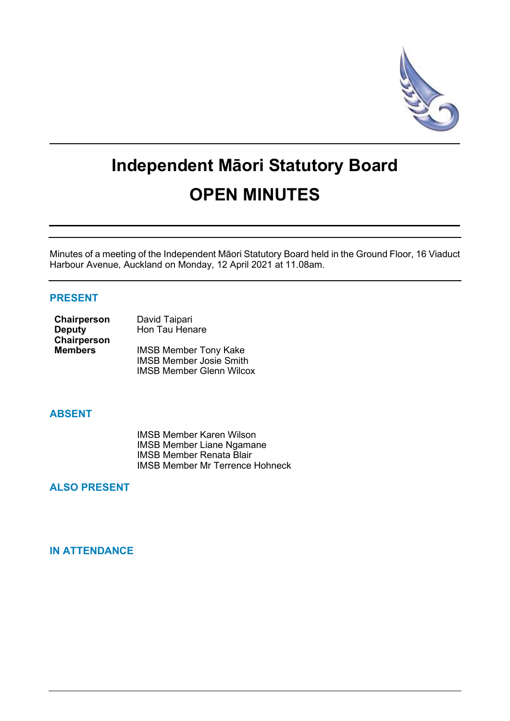

# **Independent Māori Statutory Board OPEN MINUTES**

Minutes of a meeting of the Independent Māori Statutory Board held in the Ground Floor, 16 Viaduct Harbour Avenue, Auckland on Monday, 12 April 2021 at 11.08am.

# **PRESENT**

| Chairperson    | David Taipari                   |  |
|----------------|---------------------------------|--|
| <b>Deputy</b>  | Hon Tau Henare                  |  |
| Chairperson    |                                 |  |
| <b>Members</b> | <b>IMSB Member Tony Kake</b>    |  |
|                | <b>IMSB Member Josie Smith</b>  |  |
|                | <b>IMSB Member Glenn Wilcox</b> |  |

## **ABSENT**

IMSB Member Karen Wilson IMSB Member Liane Ngamane IMSB Member Renata Blair IMSB Member Mr Terrence Hohneck

# **ALSO PRESENT**

# **IN ATTENDANCE**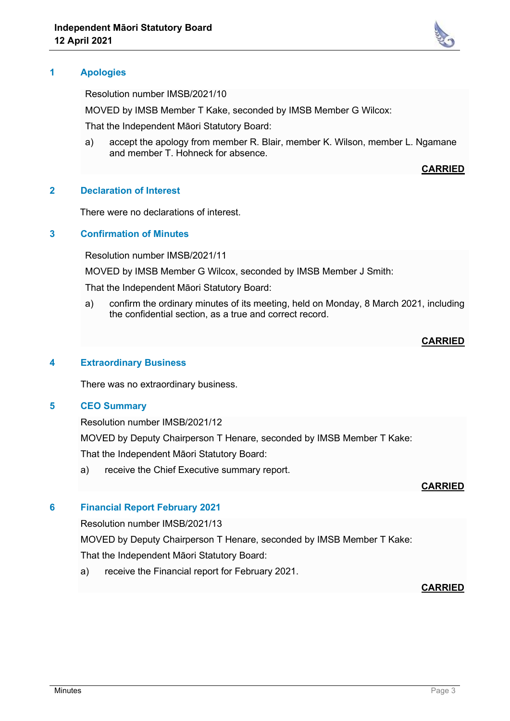

Resolution number IMSB/2021/10

MOVED by IMSB Member T Kake, seconded by IMSB Member G Wilcox:

That the Independent Māori Statutory Board:

a) accept the apology from member R. Blair, member K. Wilson, member L. Ngamane and member T. Hohneck for absence.

**CARRIED**

## **2 Declaration of Interest**

There were no declarations of interest.

#### **3 Confirmation of Minutes**

Resolution number IMSB/2021/11

MOVED by IMSB Member G Wilcox, seconded by IMSB Member J Smith:

That the Independent Māori Statutory Board:

a) confirm the ordinary minutes of its meeting, held on Monday, 8 March 2021, including the confidential section, as a true and correct record.

## **CARRIED**

# **4 Extraordinary Business**

There was no extraordinary business.

#### **5 CEO Summary**

Resolution number IMSB/2021/12

MOVED by Deputy Chairperson T Henare, seconded by IMSB Member T Kake: That the Independent Māori Statutory Board:

a) receive the Chief Executive summary report.

#### **CARRIED**

## **6 Financial Report February 2021**

Resolution number IMSB/2021/13

MOVED by Deputy Chairperson T Henare, seconded by IMSB Member T Kake: That the Independent Māori Statutory Board:

a) receive the Financial report for February 2021.

#### **CARRIED**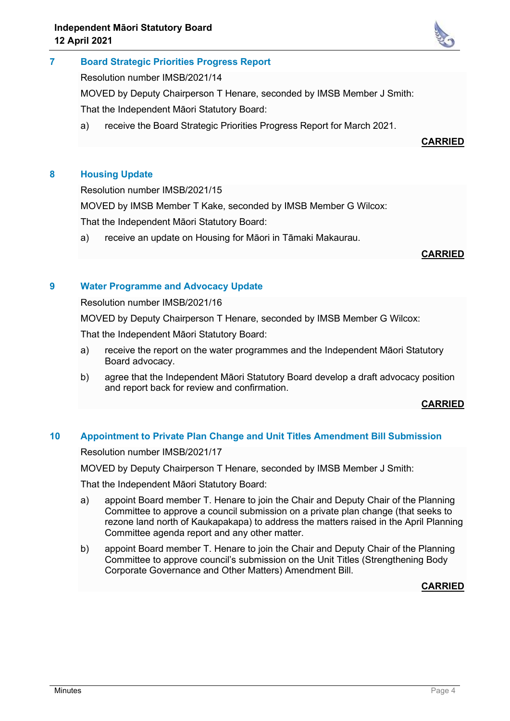

Resolution number IMSB/2021/14

MOVED by Deputy Chairperson T Henare, seconded by IMSB Member J Smith:

That the Independent Māori Statutory Board:

a) receive the Board Strategic Priorities Progress Report for March 2021.

**CARRIED**

# **8 Housing Update**

Resolution number IMSB/2021/15

MOVED by IMSB Member T Kake, seconded by IMSB Member G Wilcox:

That the Independent Māori Statutory Board:

a) receive an update on Housing for Māori in Tāmaki Makaurau.

#### **CARRIED**

## **9 Water Programme and Advocacy Update**

Resolution number IMSB/2021/16

MOVED by Deputy Chairperson T Henare, seconded by IMSB Member G Wilcox:

That the Independent Māori Statutory Board:

- a) receive the report on the water programmes and the Independent Māori Statutory Board advocacy.
- b) agree that the Independent Māori Statutory Board develop a draft advocacy position and report back for review and confirmation.

#### **CARRIED**

## **10 Appointment to Private Plan Change and Unit Titles Amendment Bill Submission**

Resolution number IMSB/2021/17

MOVED by Deputy Chairperson T Henare, seconded by IMSB Member J Smith:

That the Independent Māori Statutory Board:

- a) appoint Board member T. Henare to join the Chair and Deputy Chair of the Planning Committee to approve a council submission on a private plan change (that seeks to rezone land north of Kaukapakapa) to address the matters raised in the April Planning Committee agenda report and any other matter.
- b) appoint Board member T. Henare to join the Chair and Deputy Chair of the Planning Committee to approve council's submission on the Unit Titles (Strengthening Body Corporate Governance and Other Matters) Amendment Bill.

#### **CARRIED**

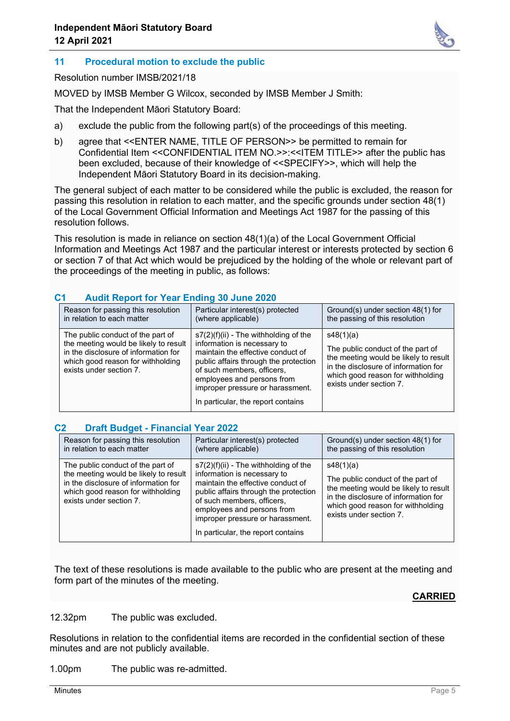

# **11 Procedural motion to exclude the public**

Resolution number IMSB/2021/18

MOVED by IMSB Member G Wilcox, seconded by IMSB Member J Smith:

That the Independent Māori Statutory Board:

- a) exclude the public from the following part(s) of the proceedings of this meeting.
- b) agree that <<ENTER NAME, TITLE OF PERSON>> be permitted to remain for Confidential Item <<CONFIDENTIAL ITEM NO.>>:<<ITEM TITLE>> after the public has been excluded, because of their knowledge of <<SPECIFY>>, which will help the Independent Māori Statutory Board in its decision-making.

The general subject of each matter to be considered while the public is excluded, the reason for passing this resolution in relation to each matter, and the specific grounds under section 48(1) of the Local Government Official Information and Meetings Act 1987 for the passing of this resolution follows.

This resolution is made in reliance on section 48(1)(a) of the Local Government Official Information and Meetings Act 1987 and the particular interest or interests protected by section 6 or section 7 of that Act which would be prejudiced by the holding of the whole or relevant part of the proceedings of the meeting in public, as follows:

| <b>AUGHT INCRYSTER IN THE LIGHTY OF SUITE LULY</b>                                                                                                                                 |                                                                                                                                                                                                                                                                                            |                                                                                                                                                                                                 |  |  |
|------------------------------------------------------------------------------------------------------------------------------------------------------------------------------------|--------------------------------------------------------------------------------------------------------------------------------------------------------------------------------------------------------------------------------------------------------------------------------------------|-------------------------------------------------------------------------------------------------------------------------------------------------------------------------------------------------|--|--|
| Reason for passing this resolution<br>in relation to each matter                                                                                                                   | Particular interest(s) protected<br>(where applicable)                                                                                                                                                                                                                                     | Ground(s) under section 48(1) for<br>the passing of this resolution                                                                                                                             |  |  |
| The public conduct of the part of<br>the meeting would be likely to result<br>in the disclosure of information for<br>which good reason for withholding<br>exists under section 7. | $s7(2)(f)(ii)$ - The withholding of the<br>information is necessary to<br>maintain the effective conduct of<br>public affairs through the protection<br>of such members, officers,<br>employees and persons from<br>improper pressure or harassment.<br>In particular, the report contains | s48(1)(a)<br>The public conduct of the part of<br>the meeting would be likely to result<br>in the disclosure of information for<br>which good reason for withholding<br>exists under section 7. |  |  |

## **C1 Audit Report for Year Ending 30 June 2020**

#### **C2 Draft Budget - Financial Year 2022**

| Reason for passing this resolution                                                                                                                                                 | Particular interest(s) protected                                                                                                                                                                                                                                                           | Ground(s) under section 48(1) for                                                                                                                                                               |
|------------------------------------------------------------------------------------------------------------------------------------------------------------------------------------|--------------------------------------------------------------------------------------------------------------------------------------------------------------------------------------------------------------------------------------------------------------------------------------------|-------------------------------------------------------------------------------------------------------------------------------------------------------------------------------------------------|
| in relation to each matter                                                                                                                                                         | (where applicable)                                                                                                                                                                                                                                                                         | the passing of this resolution                                                                                                                                                                  |
| The public conduct of the part of<br>the meeting would be likely to result<br>in the disclosure of information for<br>which good reason for withholding<br>exists under section 7. | $s7(2)(f)(ii)$ - The withholding of the<br>information is necessary to<br>maintain the effective conduct of<br>public affairs through the protection<br>of such members, officers,<br>employees and persons from<br>improper pressure or harassment.<br>In particular, the report contains | s48(1)(a)<br>The public conduct of the part of<br>the meeting would be likely to result<br>in the disclosure of information for<br>which good reason for withholding<br>exists under section 7. |

The text of these resolutions is made available to the public who are present at the meeting and form part of the minutes of the meeting.

## **CARRIED**

12.32pm The public was excluded.

Resolutions in relation to the confidential items are recorded in the confidential section of these minutes and are not publicly available.

1.00pm The public was re-admitted.